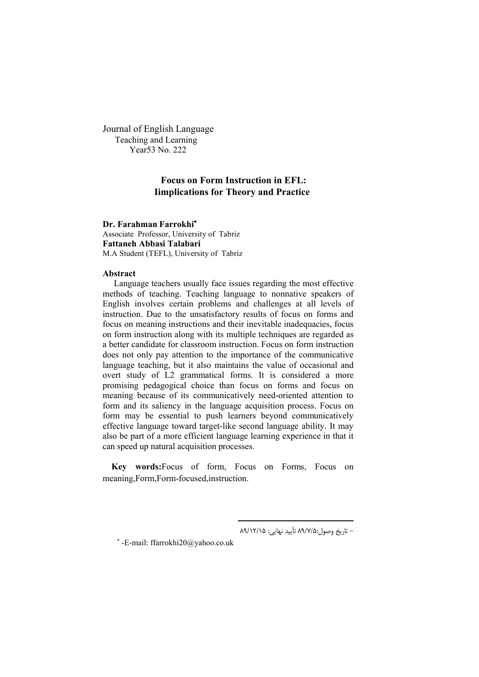Journal of English Language Teaching and Learning Year53 No. 222

# **Focus on Form Instruction in EFL: Iimplications for Theory and Practice**

**Dr. Farahman Farrokhi** Associate Professor, University of Tabriz **Fattaneh Abbasi Talabari** M.A Student (TEFL), University of Tabriz

# **Abstract**

Language teachers usually face issues regarding the most effective methods of teaching. Teaching language to nonnative speakers of English involves certain problems and challenges at all levels of instruction. Due to the unsatisfactory results of focus on forms and focus on meaning instructions and their inevitable inadequacies, focus on form instruction along with its multiple techniques are regarded as a better candidate for classroom instruction. Focus on form instruction does not only pay attention to the importance of the communicative language teaching, but it also maintains the value of occasional and overt study of L2 grammatical forms. It is considered a more promising pedagogical choice than focus on forms and focus on meaning because of its communicatively need-oriented attention to form and its saliency in the language acquisition process. Focus on form may be essential to push learners beyond communicatively effective language toward target-like second language ability. It may also be part of a more efficient language learning experience in that it can speed up natural acquisition processes.

 **Key words:**Focus of form, Focus on Forms, Focus on meaning,Form,Form-focused,instruction.

 $\overline{a}$ 

– تاریخ وصول:۸۹/۷/۵ تأیید نهایی: ۸۹/۱۲/۱۵

-E-mail: ffarrokhi20@yahoo.co.uk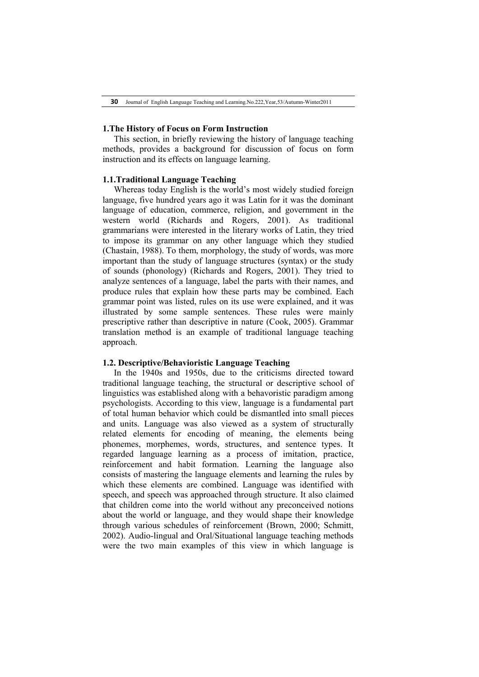### **1.The History of Focus on Form Instruction**

This section, in briefly reviewing the history of language teaching methods, provides a background for discussion of focus on form instruction and its effects on language learning.

# **1.1.Traditional Language Teaching**

Whereas today English is the world's most widely studied foreign language, five hundred years ago it was Latin for it was the dominant language of education, commerce, religion, and government in the western world (Richards and Rogers, 2001). As traditional grammarians were interested in the literary works of Latin, they tried to impose its grammar on any other language which they studied (Chastain, 1988). To them, morphology, the study of words, was more important than the study of language structures (syntax) or the study of sounds (phonology) (Richards and Rogers, 2001). They tried to analyze sentences of a language, label the parts with their names, and produce rules that explain how these parts may be combined. Each grammar point was listed, rules on its use were explained, and it was illustrated by some sample sentences. These rules were mainly prescriptive rather than descriptive in nature (Cook, 2005). Grammar translation method is an example of traditional language teaching approach.

#### **1.2. Descriptive/Behavioristic Language Teaching**

In the 1940s and 1950s, due to the criticisms directed toward traditional language teaching, the structural or descriptive school of linguistics was established along with a behavoristic paradigm among psychologists. According to this view, language is a fundamental part of total human behavior which could be dismantled into small pieces and units. Language was also viewed as a system of structurally related elements for encoding of meaning, the elements being phonemes, morphemes, words, structures, and sentence types. It regarded language learning as a process of imitation, practice, reinforcement and habit formation. Learning the language also consists of mastering the language elements and learning the rules by which these elements are combined. Language was identified with speech, and speech was approached through structure. It also claimed that children come into the world without any preconceived notions about the world or language, and they would shape their knowledge through various schedules of reinforcement (Brown, 2000; Schmitt, 2002). Audio-lingual and Oral/Situational language teaching methods were the two main examples of this view in which language is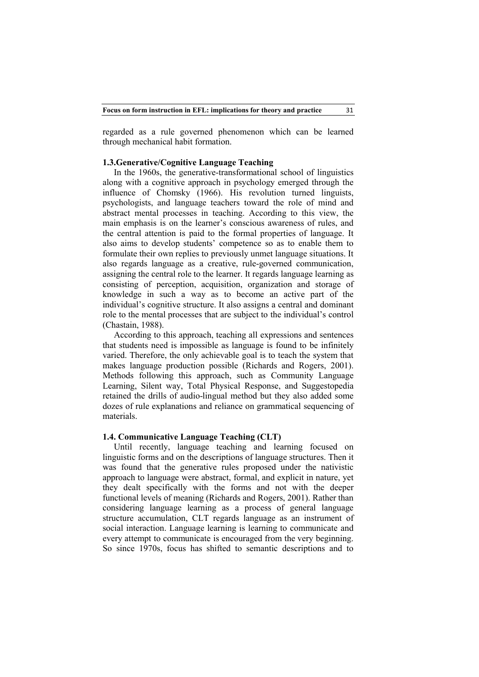regarded as a rule governed phenomenon which can be learned through mechanical habit formation.

# **1.3.Generative/Cognitive Language Teaching**

In the 1960s, the generative-transformational school of linguistics along with a cognitive approach in psychology emerged through the influence of Chomsky (1966). His revolution turned linguists, psychologists, and language teachers toward the role of mind and abstract mental processes in teaching. According to this view, the main emphasis is on the learner's conscious awareness of rules, and the central attention is paid to the formal properties of language. It also aims to develop students' competence so as to enable them to formulate their own replies to previously unmet language situations. It also regards language as a creative, rule-governed communication, assigning the central role to the learner. It regards language learning as consisting of perception, acquisition, organization and storage of knowledge in such a way as to become an active part of the individual's cognitive structure. It also assigns a central and dominant role to the mental processes that are subject to the individual's control (Chastain, 1988).

According to this approach, teaching all expressions and sentences that students need is impossible as language is found to be infinitely varied. Therefore, the only achievable goal is to teach the system that makes language production possible (Richards and Rogers, 2001). Methods following this approach, such as Community Language Learning, Silent way, Total Physical Response, and Suggestopedia retained the drills of audio-lingual method but they also added some dozes of rule explanations and reliance on grammatical sequencing of materials.

# **1.4. Communicative Language Teaching (CLT)**

Until recently, language teaching and learning focused on linguistic forms and on the descriptions of language structures. Then it was found that the generative rules proposed under the nativistic approach to language were abstract, formal, and explicit in nature, yet they dealt specifically with the forms and not with the deeper functional levels of meaning (Richards and Rogers, 2001). Rather than considering language learning as a process of general language structure accumulation, CLT regards language as an instrument of social interaction. Language learning is learning to communicate and every attempt to communicate is encouraged from the very beginning. So since 1970s, focus has shifted to semantic descriptions and to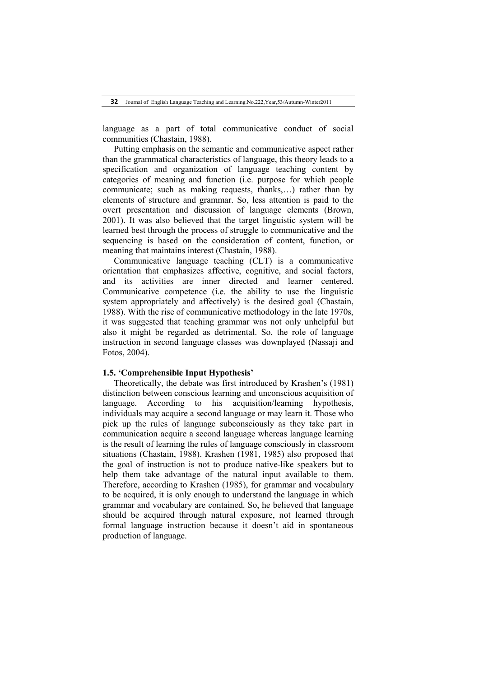language as a part of total communicative conduct of social communities (Chastain, 1988).

Putting emphasis on the semantic and communicative aspect rather than the grammatical characteristics of language, this theory leads to a specification and organization of language teaching content by categories of meaning and function (i.e. purpose for which people communicate; such as making requests, thanks,…) rather than by elements of structure and grammar. So, less attention is paid to the overt presentation and discussion of language elements (Brown, 2001). It was also believed that the target linguistic system will be learned best through the process of struggle to communicative and the sequencing is based on the consideration of content, function, or meaning that maintains interest (Chastain, 1988).

Communicative language teaching (CLT) is a communicative orientation that emphasizes affective, cognitive, and social factors, and its activities are inner directed and learner centered. Communicative competence (i.e. the ability to use the linguistic system appropriately and affectively) is the desired goal (Chastain, 1988). With the rise of communicative methodology in the late 1970s, it was suggested that teaching grammar was not only unhelpful but also it might be regarded as detrimental. So, the role of language instruction in second language classes was downplayed (Nassaji and Fotos, 2004).

## **1.5. 'Comprehensible Input Hypothesis'**

Theoretically, the debate was first introduced by Krashen's (1981) distinction between conscious learning and unconscious acquisition of language. According to his acquisition/learning hypothesis, individuals may acquire a second language or may learn it. Those who pick up the rules of language subconsciously as they take part in communication acquire a second language whereas language learning is the result of learning the rules of language consciously in classroom situations (Chastain, 1988). Krashen (1981, 1985) also proposed that the goal of instruction is not to produce native-like speakers but to help them take advantage of the natural input available to them. Therefore, according to Krashen (1985), for grammar and vocabulary to be acquired, it is only enough to understand the language in which grammar and vocabulary are contained. So, he believed that language should be acquired through natural exposure, not learned through formal language instruction because it doesn't aid in spontaneous production of language.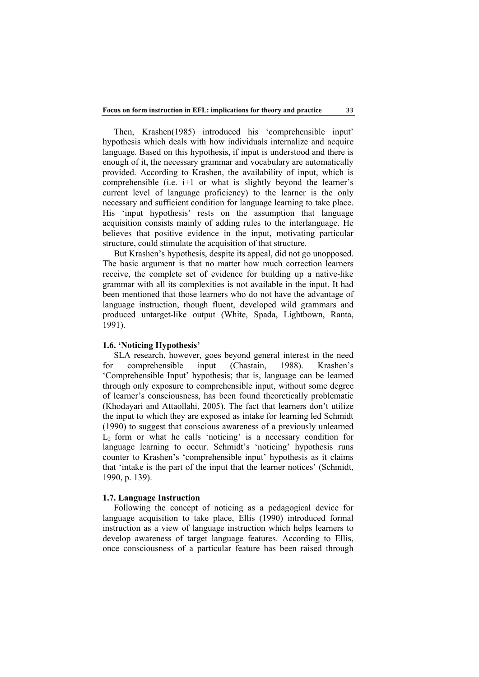33

Then, Krashen(1985) introduced his 'comprehensible input' hypothesis which deals with how individuals internalize and acquire language. Based on this hypothesis, if input is understood and there is enough of it, the necessary grammar and vocabulary are automatically provided. According to Krashen, the availability of input, which is comprehensible (i.e.  $i+1$  or what is slightly beyond the learner's current level of language proficiency) to the learner is the only necessary and sufficient condition for language learning to take place. His 'input hypothesis' rests on the assumption that language acquisition consists mainly of adding rules to the interlanguage. He believes that positive evidence in the input, motivating particular structure, could stimulate the acquisition of that structure.

But Krashen's hypothesis, despite its appeal, did not go unopposed. The basic argument is that no matter how much correction learners receive, the complete set of evidence for building up a native-like grammar with all its complexities is not available in the input. It had been mentioned that those learners who do not have the advantage of language instruction, though fluent, developed wild grammars and produced untarget-like output (White, Spada, Lightbown, Ranta, 1991).

## **1.6. 'Noticing Hypothesis'**

SLA research, however, goes beyond general interest in the need for comprehensible input (Chastain, 1988). Krashen's 'Comprehensible Input' hypothesis; that is, language can be learned through only exposure to comprehensible input, without some degree of learner's consciousness, has been found theoretically problematic (Khodayari and Attaollahi, 2005). The fact that learners don't utilize the input to which they are exposed as intake for learning led Schmidt (1990) to suggest that conscious awareness of a previously unlearned  $L<sub>2</sub>$  form or what he calls 'noticing' is a necessary condition for language learning to occur. Schmidt's 'noticing' hypothesis runs counter to Krashen's 'comprehensible input' hypothesis as it claims that 'intake is the part of the input that the learner notices' (Schmidt, 1990, p. 139).

### **1.7. Language Instruction**

Following the concept of noticing as a pedagogical device for language acquisition to take place, Ellis (1990) introduced formal instruction as a view of language instruction which helps learners to develop awareness of target language features. According to Ellis, once consciousness of a particular feature has been raised through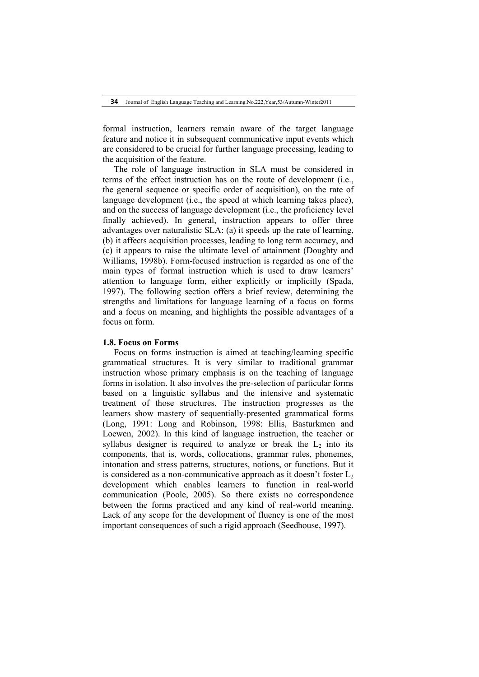formal instruction, learners remain aware of the target language feature and notice it in subsequent communicative input events which are considered to be crucial for further language processing, leading to the acquisition of the feature.

The role of language instruction in SLA must be considered in terms of the effect instruction has on the route of development (i.e., the general sequence or specific order of acquisition), on the rate of language development (i.e., the speed at which learning takes place), and on the success of language development (i.e., the proficiency level finally achieved). In general, instruction appears to offer three advantages over naturalistic SLA: (a) it speeds up the rate of learning, (b) it affects acquisition processes, leading to long term accuracy, and (c) it appears to raise the ultimate level of attainment (Doughty and Williams, 1998b). Form-focused instruction is regarded as one of the main types of formal instruction which is used to draw learners' attention to language form, either explicitly or implicitly (Spada, 1997). The following section offers a brief review, determining the strengths and limitations for language learning of a focus on forms and a focus on meaning, and highlights the possible advantages of a focus on form.

#### **1.8. Focus on Forms**

Focus on forms instruction is aimed at teaching/learning specific grammatical structures. It is very similar to traditional grammar instruction whose primary emphasis is on the teaching of language forms in isolation. It also involves the pre-selection of particular forms based on a linguistic syllabus and the intensive and systematic treatment of those structures. The instruction progresses as the learners show mastery of sequentially-presented grammatical forms (Long, 1991: Long and Robinson, 1998: Ellis, Basturkmen and Loewen, 2002). In this kind of language instruction, the teacher or syllabus designer is required to analyze or break the  $L<sub>2</sub>$  into its components, that is, words, collocations, grammar rules, phonemes, intonation and stress patterns, structures, notions, or functions. But it is considered as a non-communicative approach as it doesn't foster  $L_2$ development which enables learners to function in real-world communication (Poole, 2005). So there exists no correspondence between the forms practiced and any kind of real-world meaning. Lack of any scope for the development of fluency is one of the most important consequences of such a rigid approach (Seedhouse, 1997).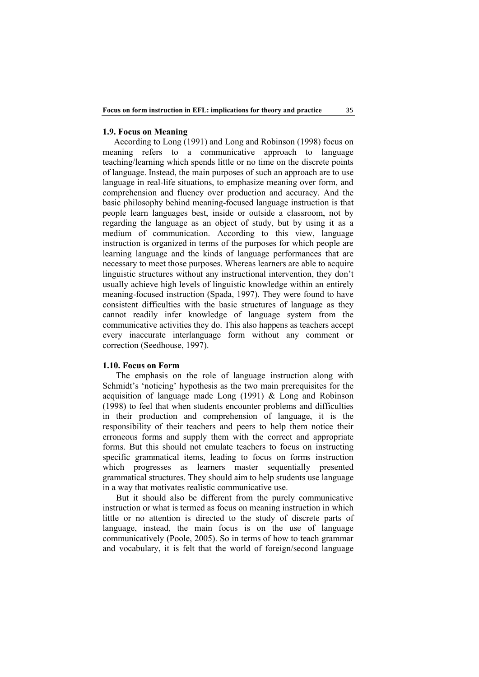## **1.9. Focus on Meaning**

According to Long (1991) and Long and Robinson (1998) focus on meaning refers to a communicative approach to language teaching/learning which spends little or no time on the discrete points of language. Instead, the main purposes of such an approach are to use language in real-life situations, to emphasize meaning over form, and comprehension and fluency over production and accuracy. And the basic philosophy behind meaning-focused language instruction is that people learn languages best, inside or outside a classroom, not by regarding the language as an object of study, but by using it as a medium of communication. According to this view, language instruction is organized in terms of the purposes for which people are learning language and the kinds of language performances that are necessary to meet those purposes. Whereas learners are able to acquire linguistic structures without any instructional intervention, they don't usually achieve high levels of linguistic knowledge within an entirely meaning-focused instruction (Spada, 1997). They were found to have consistent difficulties with the basic structures of language as they cannot readily infer knowledge of language system from the communicative activities they do. This also happens as teachers accept every inaccurate interlanguage form without any comment or correction (Seedhouse, 1997).

# **1.10. Focus on Form**

The emphasis on the role of language instruction along with Schmidt's 'noticing' hypothesis as the two main prerequisites for the acquisition of language made Long (1991) & Long and Robinson (1998) to feel that when students encounter problems and difficulties in their production and comprehension of language, it is the responsibility of their teachers and peers to help them notice their erroneous forms and supply them with the correct and appropriate forms. But this should not emulate teachers to focus on instructing specific grammatical items, leading to focus on forms instruction which progresses as learners master sequentially presented grammatical structures. They should aim to help students use language in a way that motivates realistic communicative use.

But it should also be different from the purely communicative instruction or what is termed as focus on meaning instruction in which little or no attention is directed to the study of discrete parts of language, instead, the main focus is on the use of language communicatively (Poole, 2005). So in terms of how to teach grammar and vocabulary, it is felt that the world of foreign/second language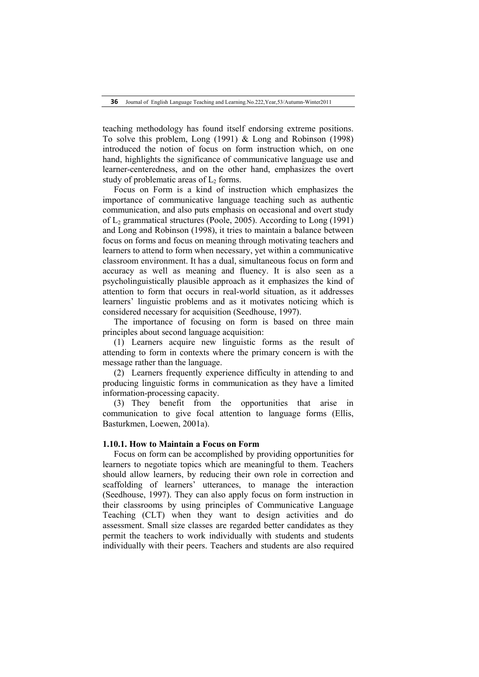teaching methodology has found itself endorsing extreme positions. To solve this problem, Long (1991) & Long and Robinson (1998) introduced the notion of focus on form instruction which, on one hand, highlights the significance of communicative language use and learner-centeredness, and on the other hand, emphasizes the overt study of problematic areas of  $L_2$  forms.

Focus on Form is a kind of instruction which emphasizes the importance of communicative language teaching such as authentic communication, and also puts emphasis on occasional and overt study of L2 grammatical structures (Poole, 2005). According to Long (1991) and Long and Robinson (1998), it tries to maintain a balance between focus on forms and focus on meaning through motivating teachers and learners to attend to form when necessary, yet within a communicative classroom environment. It has a dual, simultaneous focus on form and accuracy as well as meaning and fluency. It is also seen as a psycholinguistically plausible approach as it emphasizes the kind of attention to form that occurs in real-world situation, as it addresses learners' linguistic problems and as it motivates noticing which is considered necessary for acquisition (Seedhouse, 1997).

The importance of focusing on form is based on three main principles about second language acquisition:

(1) Learners acquire new linguistic forms as the result of attending to form in contexts where the primary concern is with the message rather than the language.

(2) Learners frequently experience difficulty in attending to and producing linguistic forms in communication as they have a limited information-processing capacity.

(3) They benefit from the opportunities that arise in communication to give focal attention to language forms (Ellis, Basturkmen, Loewen, 2001a).

## **1.10.1. How to Maintain a Focus on Form**

Focus on form can be accomplished by providing opportunities for learners to negotiate topics which are meaningful to them. Teachers should allow learners, by reducing their own role in correction and scaffolding of learners' utterances, to manage the interaction (Seedhouse, 1997). They can also apply focus on form instruction in their classrooms by using principles of Communicative Language Teaching (CLT) when they want to design activities and do assessment. Small size classes are regarded better candidates as they permit the teachers to work individually with students and students individually with their peers. Teachers and students are also required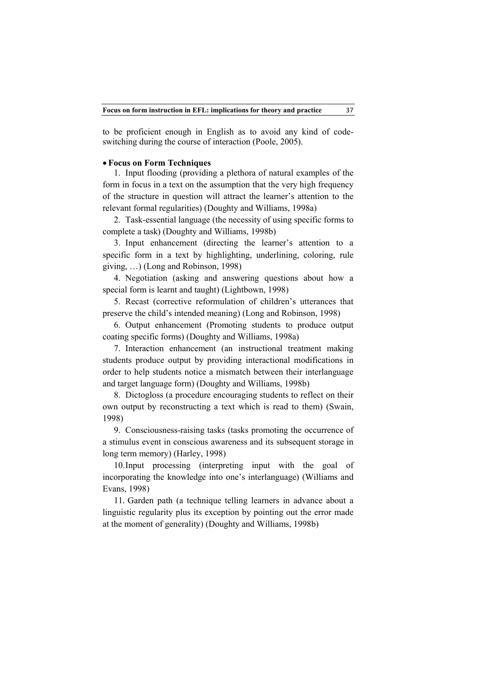to be proficient enough in English as to avoid any kind of codeswitching during the course of interaction (Poole, 2005).

## **Focus on Form Techniques**

1. Input flooding (providing a plethora of natural examples of the form in focus in a text on the assumption that the very high frequency of the structure in question will attract the learner's attention to the relevant formal regularities) (Doughty and Williams, 1998a)

2. Task-essential language (the necessity of using specific forms to complete a task) (Doughty and Williams, 1998b)

3. Input enhancement (directing the learner's attention to a specific form in a text by highlighting, underlining, coloring, rule giving, …) (Long and Robinson, 1998)

4. Negotiation (asking and answering questions about how a special form is learnt and taught) (Lightbown, 1998)

5. Recast (corrective reformulation of children's utterances that preserve the child's intended meaning) (Long and Robinson, 1998)

6. Output enhancement (Promoting students to produce output coating specific forms) (Doughty and Williams, 1998a)

7. Interaction enhancement (an instructional treatment making students produce output by providing interactional modifications in order to help students notice a mismatch between their interlanguage and target language form) (Doughty and Williams, 1998b)

8. Dictogloss (a procedure encouraging students to reflect on their own output by reconstructing a text which is read to them) (Swain, 1998)

9. Consciousness-raising tasks (tasks promoting the occurrence of a stimulus event in conscious awareness and its subsequent storage in long term memory) (Harley, 1998)

10.Input processing (interpreting input with the goal of incorporating the knowledge into one's interlanguage) (Williams and Evans, 1998)

11. Garden path (a technique telling learners in advance about a linguistic regularity plus its exception by pointing out the error made at the moment of generality) (Doughty and Williams, 1998b)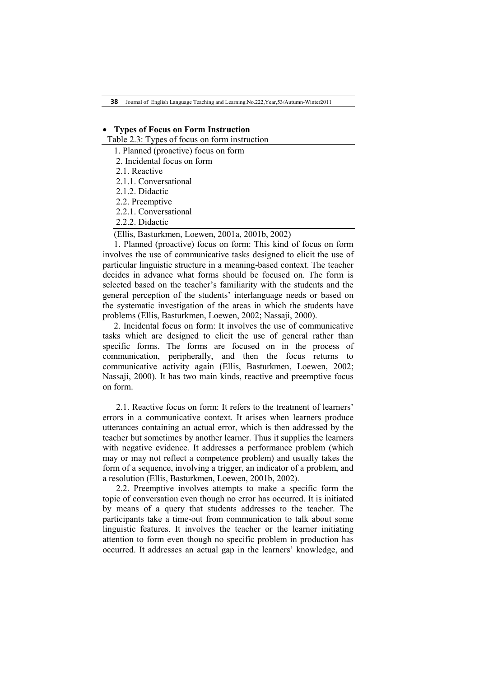**38** Journal of English Language Teaching and Learning.No.222,Year,53/Autumn-Winter2011

# **Types of Focus on Form Instruction**

Table 2.3: Types of focus on form instruction

- 1. Planned (proactive) focus on form
- 2. Incidental focus on form
- 2.1. Reactive
- 2.1.1. Conversational
- 2.1.2. Didactic
- 2.2. Preemptive
- 2.2.1. Conversational
- 2.2.2. Didactic

(Ellis, Basturkmen, Loewen, 2001a, 2001b, 2002)

1. Planned (proactive) focus on form: This kind of focus on form involves the use of communicative tasks designed to elicit the use of particular linguistic structure in a meaning-based context. The teacher decides in advance what forms should be focused on. The form is selected based on the teacher's familiarity with the students and the general perception of the students' interlanguage needs or based on the systematic investigation of the areas in which the students have problems (Ellis, Basturkmen, Loewen, 2002; Nassaji, 2000).

2. Incidental focus on form: It involves the use of communicative tasks which are designed to elicit the use of general rather than specific forms. The forms are focused on in the process of communication, peripherally, and then the focus returns to communicative activity again (Ellis, Basturkmen, Loewen, 2002; Nassaji, 2000). It has two main kinds, reactive and preemptive focus on form.

2.1. Reactive focus on form: It refers to the treatment of learners' errors in a communicative context. It arises when learners produce utterances containing an actual error, which is then addressed by the teacher but sometimes by another learner. Thus it supplies the learners with negative evidence. It addresses a performance problem (which may or may not reflect a competence problem) and usually takes the form of a sequence, involving a trigger, an indicator of a problem, and a resolution (Ellis, Basturkmen, Loewen, 2001b, 2002).

2.2. Preemptive involves attempts to make a specific form the topic of conversation even though no error has occurred. It is initiated by means of a query that students addresses to the teacher. The participants take a time-out from communication to talk about some linguistic features. It involves the teacher or the learner initiating attention to form even though no specific problem in production has occurred. It addresses an actual gap in the learners' knowledge, and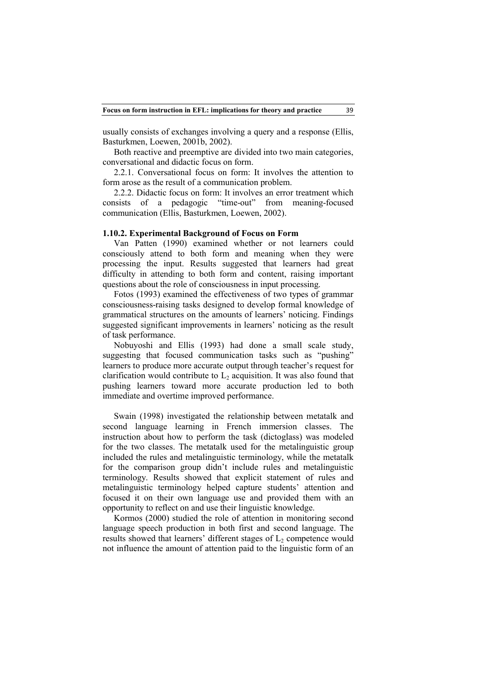usually consists of exchanges involving a query and a response (Ellis, Basturkmen, Loewen, 2001b, 2002).

Both reactive and preemptive are divided into two main categories, conversational and didactic focus on form.

2.2.1. Conversational focus on form: It involves the attention to form arose as the result of a communication problem.

2.2.2. Didactic focus on form: It involves an error treatment which consists of a pedagogic "time-out" from meaning-focused communication (Ellis, Basturkmen, Loewen, 2002).

# **1.10.2. Experimental Background of Focus on Form**

Van Patten (1990) examined whether or not learners could consciously attend to both form and meaning when they were processing the input. Results suggested that learners had great difficulty in attending to both form and content, raising important questions about the role of consciousness in input processing.

Fotos (1993) examined the effectiveness of two types of grammar consciousness-raising tasks designed to develop formal knowledge of grammatical structures on the amounts of learners' noticing. Findings suggested significant improvements in learners' noticing as the result of task performance.

Nobuyoshi and Ellis (1993) had done a small scale study, suggesting that focused communication tasks such as "pushing" learners to produce more accurate output through teacher's request for clarification would contribute to  $L<sub>2</sub>$  acquisition. It was also found that pushing learners toward more accurate production led to both immediate and overtime improved performance.

Swain (1998) investigated the relationship between metatalk and second language learning in French immersion classes. The instruction about how to perform the task (dictoglass) was modeled for the two classes. The metatalk used for the metalinguistic group included the rules and metalinguistic terminology, while the metatalk for the comparison group didn't include rules and metalinguistic terminology. Results showed that explicit statement of rules and metalinguistic terminology helped capture students' attention and focused it on their own language use and provided them with an opportunity to reflect on and use their linguistic knowledge.

Kormos (2000) studied the role of attention in monitoring second language speech production in both first and second language. The results showed that learners' different stages of  $L_2$  competence would not influence the amount of attention paid to the linguistic form of an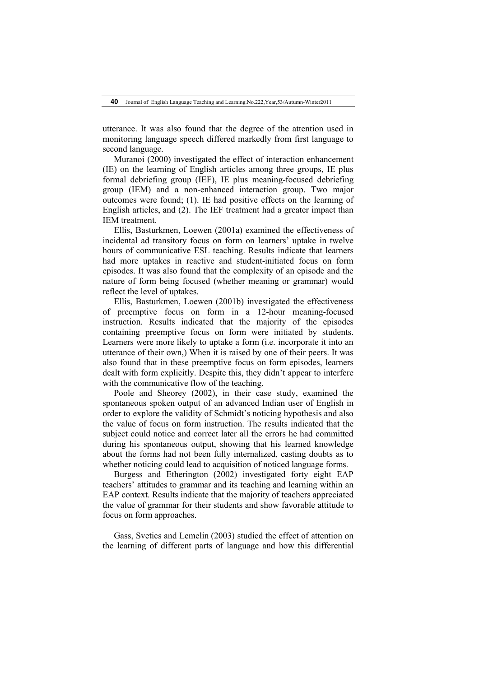utterance. It was also found that the degree of the attention used in monitoring language speech differed markedly from first language to second language.

Muranoi (2000) investigated the effect of interaction enhancement (IE) on the learning of English articles among three groups, IE plus formal debriefing group (IEF), IE plus meaning-focused debriefing group (IEM) and a non-enhanced interaction group. Two major outcomes were found; (1). IE had positive effects on the learning of English articles, and (2). The IEF treatment had a greater impact than IEM treatment.

Ellis, Basturkmen, Loewen (2001a) examined the effectiveness of incidental ad transitory focus on form on learners' uptake in twelve hours of communicative ESL teaching. Results indicate that learners had more uptakes in reactive and student-initiated focus on form episodes. It was also found that the complexity of an episode and the nature of form being focused (whether meaning or grammar) would reflect the level of uptakes.

Ellis, Basturkmen, Loewen (2001b) investigated the effectiveness of preemptive focus on form in a 12-hour meaning-focused instruction. Results indicated that the majority of the episodes containing preemptive focus on form were initiated by students. Learners were more likely to uptake a form (i.e. incorporate it into an utterance of their own,) When it is raised by one of their peers. It was also found that in these preemptive focus on form episodes, learners dealt with form explicitly. Despite this, they didn't appear to interfere with the communicative flow of the teaching.

Poole and Sheorey (2002), in their case study, examined the spontaneous spoken output of an advanced Indian user of English in order to explore the validity of Schmidt's noticing hypothesis and also the value of focus on form instruction. The results indicated that the subject could notice and correct later all the errors he had committed during his spontaneous output, showing that his learned knowledge about the forms had not been fully internalized, casting doubts as to whether noticing could lead to acquisition of noticed language forms.

Burgess and Etherington (2002) investigated forty eight EAP teachers' attitudes to grammar and its teaching and learning within an EAP context. Results indicate that the majority of teachers appreciated the value of grammar for their students and show favorable attitude to focus on form approaches.

Gass, Svetics and Lemelin (2003) studied the effect of attention on the learning of different parts of language and how this differential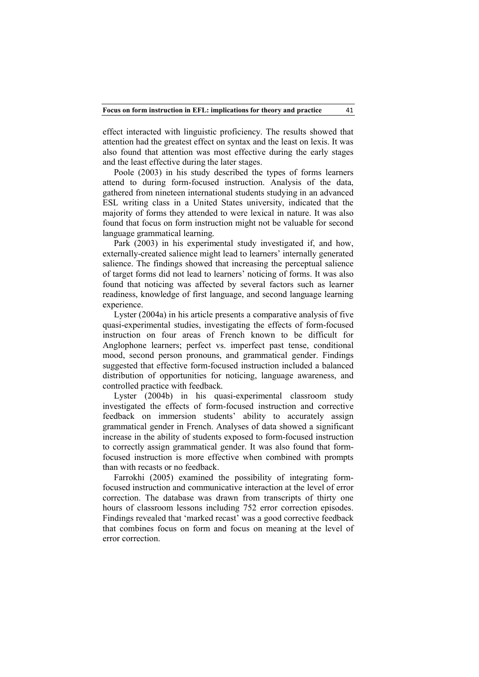effect interacted with linguistic proficiency. The results showed that attention had the greatest effect on syntax and the least on lexis. It was also found that attention was most effective during the early stages and the least effective during the later stages.

Poole (2003) in his study described the types of forms learners attend to during form-focused instruction. Analysis of the data, gathered from nineteen international students studying in an advanced ESL writing class in a United States university, indicated that the majority of forms they attended to were lexical in nature. It was also found that focus on form instruction might not be valuable for second language grammatical learning.

Park (2003) in his experimental study investigated if, and how, externally-created salience might lead to learners' internally generated salience. The findings showed that increasing the perceptual salience of target forms did not lead to learners' noticing of forms. It was also found that noticing was affected by several factors such as learner readiness, knowledge of first language, and second language learning experience.

Lyster (2004a) in his article presents a comparative analysis of five quasi-experimental studies, investigating the effects of form-focused instruction on four areas of French known to be difficult for Anglophone learners; perfect vs. imperfect past tense, conditional mood, second person pronouns, and grammatical gender. Findings suggested that effective form-focused instruction included a balanced distribution of opportunities for noticing, language awareness, and controlled practice with feedback.

Lyster (2004b) in his quasi-experimental classroom study investigated the effects of form-focused instruction and corrective feedback on immersion students' ability to accurately assign grammatical gender in French. Analyses of data showed a significant increase in the ability of students exposed to form-focused instruction to correctly assign grammatical gender. It was also found that formfocused instruction is more effective when combined with prompts than with recasts or no feedback.

Farrokhi (2005) examined the possibility of integrating formfocused instruction and communicative interaction at the level of error correction. The database was drawn from transcripts of thirty one hours of classroom lessons including 752 error correction episodes. Findings revealed that 'marked recast' was a good corrective feedback that combines focus on form and focus on meaning at the level of error correction.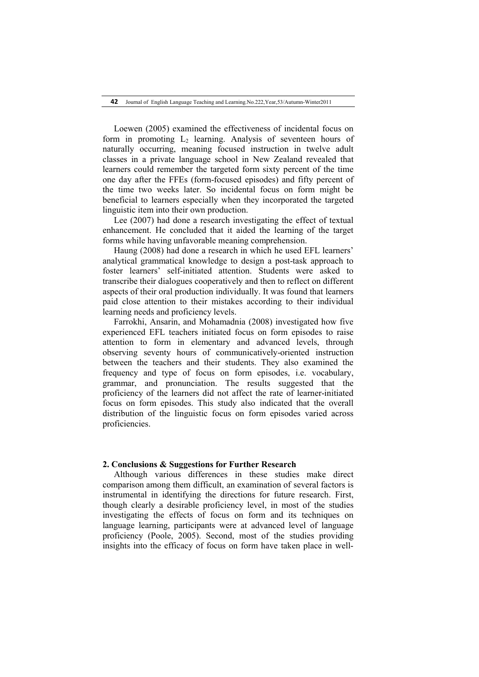Loewen (2005) examined the effectiveness of incidental focus on form in promoting  $L<sub>2</sub>$  learning. Analysis of seventeen hours of naturally occurring, meaning focused instruction in twelve adult classes in a private language school in New Zealand revealed that learners could remember the targeted form sixty percent of the time one day after the FFEs (form-focused episodes) and fifty percent of the time two weeks later. So incidental focus on form might be beneficial to learners especially when they incorporated the targeted linguistic item into their own production.

Lee (2007) had done a research investigating the effect of textual enhancement. He concluded that it aided the learning of the target forms while having unfavorable meaning comprehension.

Haung (2008) had done a research in which he used EFL learners' analytical grammatical knowledge to design a post-task approach to foster learners' self-initiated attention. Students were asked to transcribe their dialogues cooperatively and then to reflect on different aspects of their oral production individually. It was found that learners paid close attention to their mistakes according to their individual learning needs and proficiency levels.

Farrokhi, Ansarin, and Mohamadnia (2008) investigated how five experienced EFL teachers initiated focus on form episodes to raise attention to form in elementary and advanced levels, through observing seventy hours of communicatively-oriented instruction between the teachers and their students. They also examined the frequency and type of focus on form episodes, i.e. vocabulary, grammar, and pronunciation. The results suggested that the proficiency of the learners did not affect the rate of learner-initiated focus on form episodes. This study also indicated that the overall distribution of the linguistic focus on form episodes varied across proficiencies.

# **2. Conclusions & Suggestions for Further Research**

Although various differences in these studies make direct comparison among them difficult, an examination of several factors is instrumental in identifying the directions for future research. First, though clearly a desirable proficiency level, in most of the studies investigating the effects of focus on form and its techniques on language learning, participants were at advanced level of language proficiency (Poole, 2005). Second, most of the studies providing insights into the efficacy of focus on form have taken place in well-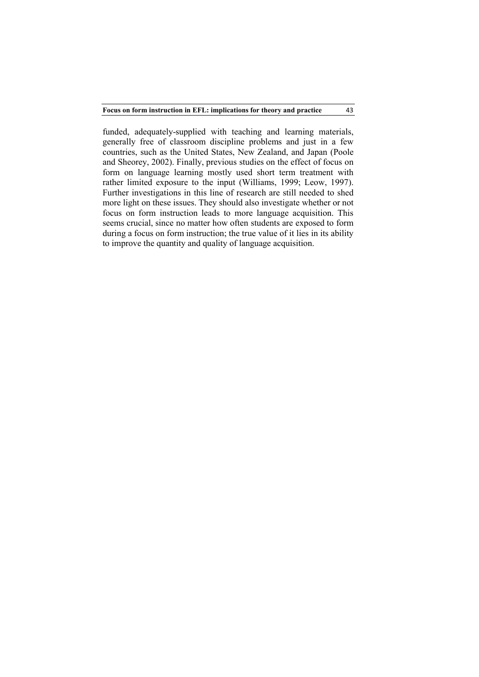43

funded, adequately-supplied with teaching and learning materials, generally free of classroom discipline problems and just in a few countries, such as the United States, New Zealand, and Japan (Poole and Sheorey, 2002). Finally, previous studies on the effect of focus on form on language learning mostly used short term treatment with rather limited exposure to the input (Williams, 1999; Leow, 1997). Further investigations in this line of research are still needed to shed more light on these issues. They should also investigate whether or not focus on form instruction leads to more language acquisition. This seems crucial, since no matter how often students are exposed to form during a focus on form instruction; the true value of it lies in its ability to improve the quantity and quality of language acquisition.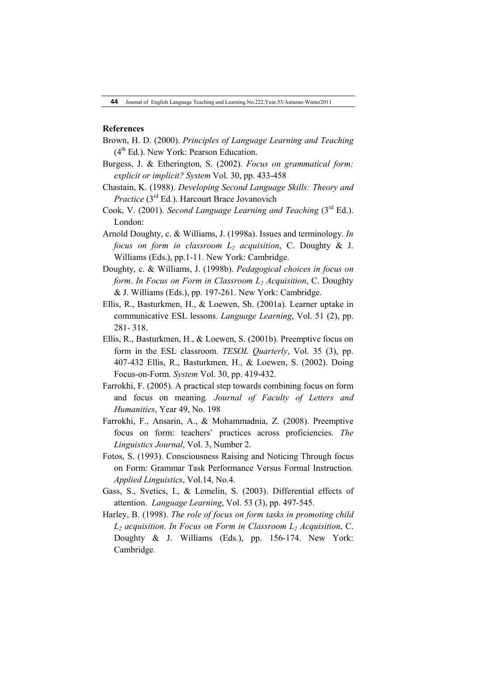# **References**

- Brown, H. D. (2000). *Principles of Language Learning and Teaching*  $(4<sup>th</sup> Ed.)$ . New York: Pearson Education.
- Burgess, J. & Etherington, S. (2002). *Focus on grammatical form: explicit or implicit? System* Vol. 30, pp. 433-458
- Chastain, K. (1988). *Developing Second Language Skills: Theory and Practice* (3<sup>rd</sup> Ed.). Harcourt Brace Jovanovich
- Cook, V. (2001). *Second Language Learning and Teaching* (3<sup>rd</sup> Ed.). London:
- Arnold Doughty, c. & Williams, J. (1998a). Issues and terminology. *In focus on form in classroom L<sub>2</sub> acquisition*, C. Doughty & J. Williams (Eds.), pp.1-11. New York: Cambridge.
- Doughty, c. & Williams, J. (1998b). *Pedagogical choices in focus on form. In Focus on Form in Classroom L<sub>2</sub> <i>Acquisition*, C. Doughty & J. Williams (Eds.), pp. 197-261. New York: Cambridge.
- Ellis, R., Basturkmen, H., & Loewen, Sh. (2001a). Learner uptake in communicative ESL lessons. *Language Learning*, Vol. 51 (2), pp. 281- 318.
- Ellis, R., Basturkmen, H., & Loewen, S. (2001b). Preemptive focus on form in the ESL classroom. *TESOL Quarterly*, Vol. 35 (3), pp. 407-432 Ellis, R., Basturkmen, H., & Loewen, S. (2002). Doing Focus-on-Form. *System* Vol. 30, pp. 419-432.
- Farrokhi, F. (2005). A practical step towards combining focus on form and focus on meaning*. Journal of Faculty of Letters and Humanities*, Year 49, No. 198
- Farrokhi, F., Ansarin, A., & Mohammadnia, Z. (2008). Preemptive focus on form: teachers' practices across proficiencies. *The Linguistics Journal*, Vol. 3, Number 2.
- Fotos, S. (1993). Consciousness Raising and Noticing Through focus on Form: Grammar Task Performance Versus Formal Instruction*. Applied Linguistics*, Vol.14, No.4.
- Gass, S., Svetics, I., & Lemelin, S. (2003). Differential effects of attention. *Language Learning*, Vol. 53 (3), pp. 497-545.
- Harley, B. (1998). *The role of focus on form tasks in promoting child L2 acquisition. In Focus on Form in Classroom L2 Acquisition*, C. Doughty & J. Williams (Eds.), pp. 156-174. New York: Cambridge.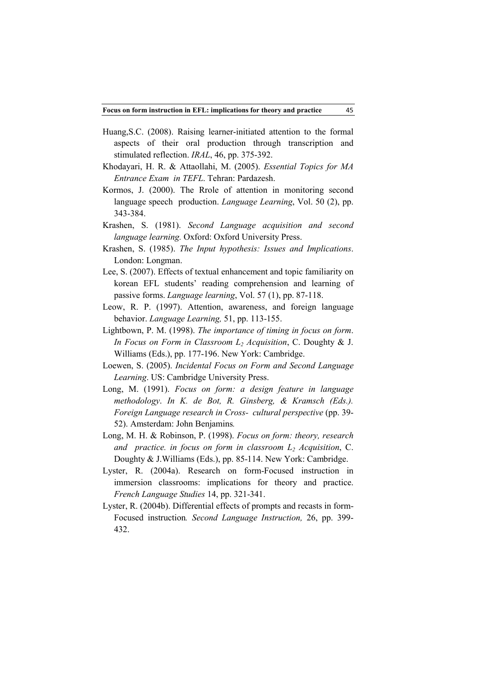- Huang,S.C. (2008). Raising learner-initiated attention to the formal aspects of their oral production through transcription and stimulated reflection. *IRAL*, 46, pp. 375-392.
- Khodayari, H. R. & Attaollahi, M. (2005). *Essential Topics for MA Entrance Exam in TEFL*. Tehran: Pardazesh.
- Kormos, J. (2000). The Rrole of attention in monitoring second language speech production. *Language Learning*, Vol. 50 (2), pp. 343-384.
- Krashen, S. (1981). *Second Language acquisition and second language learning.* Oxford: Oxford University Press.
- Krashen, S. (1985). *The Input hypothesis: Issues and Implications*. London: Longman.
- Lee, S. (2007). Effects of textual enhancement and topic familiarity on korean EFL students' reading comprehension and learning of passive forms. *Language learning*, Vol. 57 (1), pp. 87-118.
- Leow, R. P. (1997). Attention, awareness, and foreign language behavior. *Language Learning,* 51, pp. 113-155.
- Lightbown, P. M. (1998). *The importance of timing in focus on form*. *In Focus on Form in Classroom L2 Acquisition*, C. Doughty & J. Williams (Eds.), pp. 177-196. New York: Cambridge.
- Loewen, S. (2005). *Incidental Focus on Form and Second Language Learning*. US: Cambridge University Press.
- Long, M. (1991). *Focus on form: a design feature in language methodology*. *In K. de Bot, R. Ginsberg, & Kramsch (Eds.). Foreign Language research in Cross- cultural perspective* (pp. 39-52). Amsterdam: John Benjamins*.*
- Long, M. H. & Robinson, P. (1998). *Focus on form: theory, research and practice. in focus on form in classroom L2 Acquisition*, C. Doughty & J.Williams (Eds.), pp. 85-114. New York: Cambridge.
- Lyster, R. (2004a). Research on form-Focused instruction in immersion classrooms: implications for theory and practice. *French Language Studies* 14, pp. 321-341.
- Lyster, R. (2004b). Differential effects of prompts and recasts in form-Focused instruction*. Second Language Instruction,* 26, pp. 399- 432.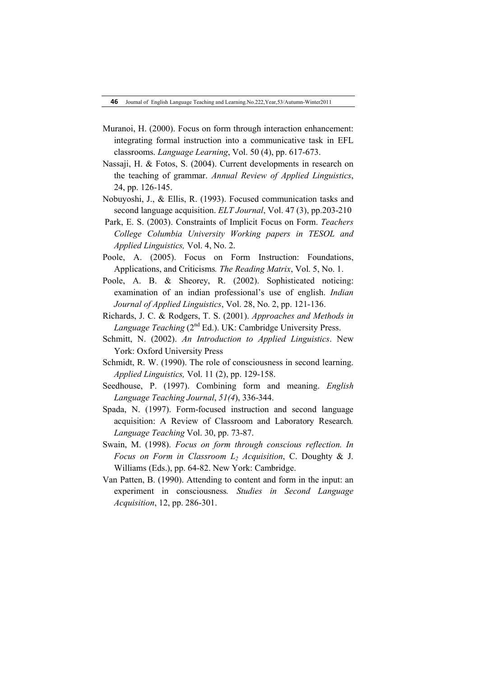- Muranoi, H. (2000). Focus on form through interaction enhancement: integrating formal instruction into a communicative task in EFL classrooms. *Language Learning*, Vol. 50 (4), pp. 617-673.
- Nassaji, H. & Fotos, S. (2004). Current developments in research on the teaching of grammar. *Annual Review of Applied Linguistics*, 24, pp. 126-145.
- Nobuyoshi, J., & Ellis, R. (1993). Focused communication tasks and second language acquisition. *ELT Journal*, Vol. 47 (3), pp.203-210
- Park, E. S. (2003). Constraints of Implicit Focus on Form. *Teachers College Columbia University Working papers in TESOL and Applied Linguistics,* Vol. 4, No. 2.
- Poole, A. (2005). Focus on Form Instruction: Foundations, Applications, and Criticisms*. The Reading Matrix*, Vol. 5, No. 1.
- Poole, A. B. & Sheorey, R. (2002). Sophisticated noticing: examination of an indian professional's use of english. *Indian Journal of Applied Linguistics*, Vol. 28, No. 2, pp. 121-136.
- Richards, J. C. & Rodgers, T. S. (2001). *Approaches and Methods in Language Teaching* (2<sup>nd</sup> Ed.). UK: Cambridge University Press.
- Schmitt, N. (2002). *An Introduction to Applied Linguistics*. New York: Oxford University Press
- Schmidt, R. W. (1990). The role of consciousness in second learning. *Applied Linguistics,* Vol. 11 (2), pp. 129-158.
- Seedhouse, P. (1997). Combining form and meaning. *English Language Teaching Journal*, *51(4*), 336-344.
- Spada, N. (1997). Form-focused instruction and second language acquisition: A Review of Classroom and Laboratory Research*. Language Teaching* Vol. 30, pp. 73-87.
- Swain, M. (1998). *Focus on form through conscious reflection. In Focus on Form in Classroom L2 Acquisition*, C. Doughty & J. Williams (Eds.), pp. 64-82. New York: Cambridge.
- Van Patten, B. (1990). Attending to content and form in the input: an experiment in consciousness*. Studies in Second Language Acquisition*, 12, pp. 286-301.